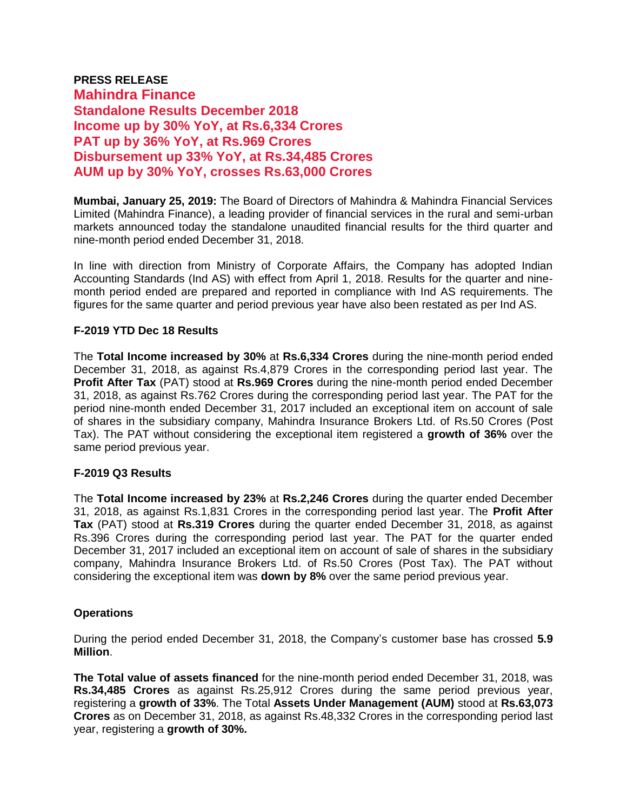# **PRESS RELEASE Mahindra Finance Standalone Results December 2018 Income up by 30% YoY, at Rs.6,334 Crores PAT up by 36% YoY, at Rs.969 Crores Disbursement up 33% YoY, at Rs.34,485 Crores AUM up by 30% YoY, crosses Rs.63,000 Crores**

**Mumbai, January 25, 2019:** The Board of Directors of Mahindra & Mahindra Financial Services Limited (Mahindra Finance), a leading provider of financial services in the rural and semi-urban markets announced today the standalone unaudited financial results for the third quarter and nine-month period ended December 31, 2018.

In line with direction from Ministry of Corporate Affairs, the Company has adopted Indian Accounting Standards (Ind AS) with effect from April 1, 2018. Results for the quarter and ninemonth period ended are prepared and reported in compliance with Ind AS requirements. The figures for the same quarter and period previous year have also been restated as per Ind AS.

# **F-2019 YTD Dec 18 Results**

The **Total Income increased by 30%** at **Rs.6,334 Crores** during the nine-month period ended December 31, 2018, as against Rs.4,879 Crores in the corresponding period last year. The **Profit After Tax** (PAT) stood at **Rs.969 Crores** during the nine-month period ended December 31, 2018, as against Rs.762 Crores during the corresponding period last year. The PAT for the period nine-month ended December 31, 2017 included an exceptional item on account of sale of shares in the subsidiary company, Mahindra Insurance Brokers Ltd. of Rs.50 Crores (Post Tax). The PAT without considering the exceptional item registered a **growth of 36%** over the same period previous year.

# **F-2019 Q3 Results**

The **Total Income increased by 23%** at **Rs.2,246 Crores** during the quarter ended December 31, 2018, as against Rs.1,831 Crores in the corresponding period last year. The **Profit After Tax** (PAT) stood at **Rs.319 Crores** during the quarter ended December 31, 2018, as against Rs.396 Crores during the corresponding period last year. The PAT for the quarter ended December 31, 2017 included an exceptional item on account of sale of shares in the subsidiary company, Mahindra Insurance Brokers Ltd. of Rs.50 Crores (Post Tax). The PAT without considering the exceptional item was **down by 8%** over the same period previous year.

# **Operations**

During the period ended December 31, 2018, the Company's customer base has crossed **5.9 Million**.

**The Total value of assets financed** for the nine-month period ended December 31, 2018, was **Rs.34,485 Crores** as against Rs.25,912 Crores during the same period previous year, registering a **growth of 33%**. The Total **Assets Under Management (AUM)** stood at **Rs.63,073 Crores** as on December 31, 2018, as against Rs.48,332 Crores in the corresponding period last year, registering a **growth of 30%.**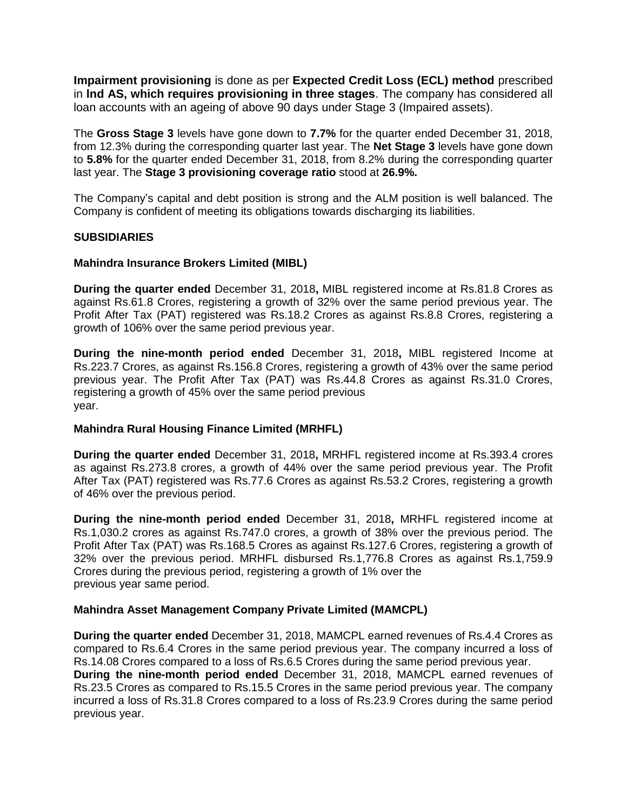**Impairment provisioning** is done as per **Expected Credit Loss (ECL) method** prescribed in **lnd AS, which requires provisioning in three stages**. The company has considered all loan accounts with an ageing of above 90 days under Stage 3 (Impaired assets).

The **Gross Stage 3** levels have gone down to **7.7%** for the quarter ended December 31, 2018, from 12.3% during the corresponding quarter last year. The **Net Stage 3** levels have gone down to **5.8%** for the quarter ended December 31, 2018, from 8.2% during the corresponding quarter last year. The **Stage 3 provisioning coverage ratio** stood at **26.9%.**

The Company's capital and debt position is strong and the ALM position is well balanced. The Company is confident of meeting its obligations towards discharging its liabilities.

#### **SUBSIDIARIES**

#### **Mahindra Insurance Brokers Limited (MIBL)**

**During the quarter ended** December 31, 2018**,** MIBL registered income at Rs.81.8 Crores as against Rs.61.8 Crores, registering a growth of 32% over the same period previous year. The Profit After Tax (PAT) registered was Rs.18.2 Crores as against Rs.8.8 Crores, registering a growth of 106% over the same period previous year.

**During the nine-month period ended** December 31, 2018**,** MIBL registered Income at Rs.223.7 Crores, as against Rs.156.8 Crores, registering a growth of 43% over the same period previous year. The Profit After Tax (PAT) was Rs.44.8 Crores as against Rs.31.0 Crores, registering a growth of 45% over the same period previous year.

# **Mahindra Rural Housing Finance Limited (MRHFL)**

**During the quarter ended** December 31, 2018**,** MRHFL registered income at Rs.393.4 crores as against Rs.273.8 crores, a growth of 44% over the same period previous year. The Profit After Tax (PAT) registered was Rs.77.6 Crores as against Rs.53.2 Crores, registering a growth of 46% over the previous period.

**During the nine-month period ended** December 31, 2018**,** MRHFL registered income at Rs.1,030.2 crores as against Rs.747.0 crores, a growth of 38% over the previous period. The Profit After Tax (PAT) was Rs.168.5 Crores as against Rs.127.6 Crores, registering a growth of 32% over the previous period. MRHFL disbursed Rs.1,776.8 Crores as against Rs.1,759.9 Crores during the previous period, registering a growth of 1% over the previous year same period.

#### **Mahindra Asset Management Company Private Limited (MAMCPL)**

**During the quarter ended** December 31, 2018, MAMCPL earned revenues of Rs.4.4 Crores as compared to Rs.6.4 Crores in the same period previous year. The company incurred a loss of Rs.14.08 Crores compared to a loss of Rs.6.5 Crores during the same period previous year. **During the nine-month period ended** December 31, 2018, MAMCPL earned revenues of Rs.23.5 Crores as compared to Rs.15.5 Crores in the same period previous year. The company incurred a loss of Rs.31.8 Crores compared to a loss of Rs.23.9 Crores during the same period previous year.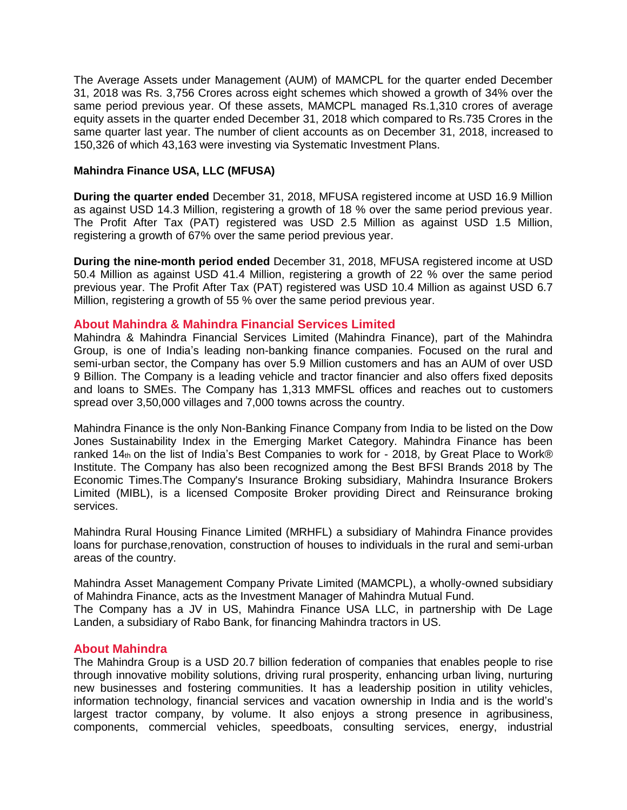The Average Assets under Management (AUM) of MAMCPL for the quarter ended December 31, 2018 was Rs. 3,756 Crores across eight schemes which showed a growth of 34% over the same period previous year. Of these assets, MAMCPL managed Rs.1,310 crores of average equity assets in the quarter ended December 31, 2018 which compared to Rs.735 Crores in the same quarter last year. The number of client accounts as on December 31, 2018, increased to 150,326 of which 43,163 were investing via Systematic Investment Plans.

#### **Mahindra Finance USA, LLC (MFUSA)**

**During the quarter ended** December 31, 2018, MFUSA registered income at USD 16.9 Million as against USD 14.3 Million, registering a growth of 18 % over the same period previous year. The Profit After Tax (PAT) registered was USD 2.5 Million as against USD 1.5 Million, registering a growth of 67% over the same period previous year.

**During the nine-month period ended** December 31, 2018, MFUSA registered income at USD 50.4 Million as against USD 41.4 Million, registering a growth of 22 % over the same period previous year. The Profit After Tax (PAT) registered was USD 10.4 Million as against USD 6.7 Million, registering a growth of 55 % over the same period previous year.

#### **About Mahindra & Mahindra Financial Services Limited**

Mahindra & Mahindra Financial Services Limited (Mahindra Finance), part of the Mahindra Group, is one of India's leading non-banking finance companies. Focused on the rural and semi-urban sector, the Company has over 5.9 Million customers and has an AUM of over USD 9 Billion. The Company is a leading vehicle and tractor financier and also offers fixed deposits and loans to SMEs. The Company has 1,313 MMFSL offices and reaches out to customers spread over 3,50,000 villages and 7,000 towns across the country.

Mahindra Finance is the only Non-Banking Finance Company from India to be listed on the Dow Jones Sustainability Index in the Emerging Market Category. Mahindra Finance has been ranked 14th on the list of India's Best Companies to work for - 2018, by Great Place to Work® Institute. The Company has also been recognized among the Best BFSI Brands 2018 by The Economic Times.The Company's Insurance Broking subsidiary, Mahindra Insurance Brokers Limited (MIBL), is a licensed Composite Broker providing Direct and Reinsurance broking services.

Mahindra Rural Housing Finance Limited (MRHFL) a subsidiary of Mahindra Finance provides loans for purchase,renovation, construction of houses to individuals in the rural and semi-urban areas of the country.

Mahindra Asset Management Company Private Limited (MAMCPL), a wholly-owned subsidiary of Mahindra Finance, acts as the Investment Manager of Mahindra Mutual Fund. The Company has a JV in US, Mahindra Finance USA LLC, in partnership with De Lage Landen, a subsidiary of Rabo Bank, for financing Mahindra tractors in US.

# **About Mahindra**

The Mahindra Group is a USD 20.7 billion federation of companies that enables people to rise through innovative mobility solutions, driving rural prosperity, enhancing urban living, nurturing new businesses and fostering communities. It has a leadership position in utility vehicles, information technology, financial services and vacation ownership in India and is the world's largest tractor company, by volume. It also enjoys a strong presence in agribusiness, components, commercial vehicles, speedboats, consulting services, energy, industrial